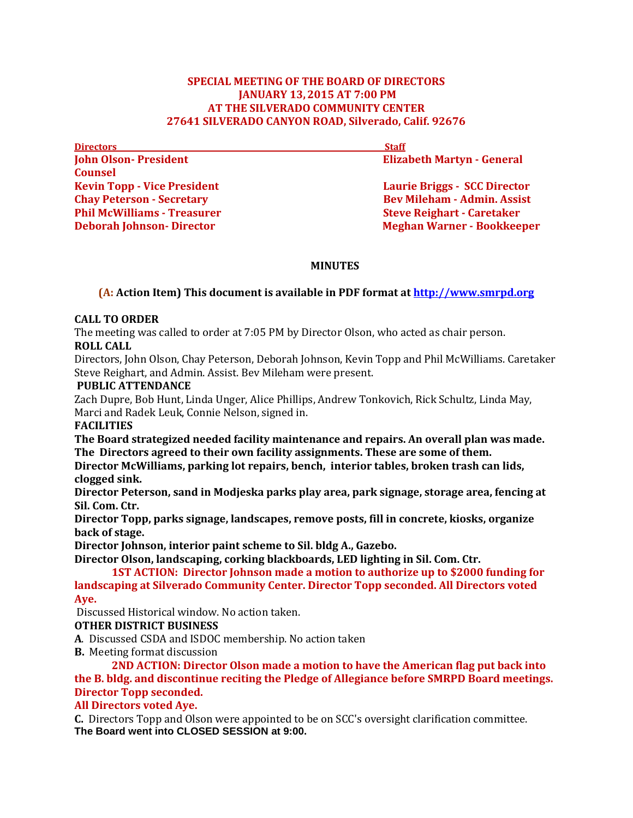#### **SPECIAL MEETING OF THE BOARD OF DIRECTORS JANUARY 13,2015 AT 7:00 PM AT THE SILVERADO COMMUNITY CENTER 27641 SILVERADO CANYON ROAD, Silverado, Calif. 92676**

**Directors** Staff **John Olson-President Elizabeth Martyn - General** *Elizabeth Martyn* **- General Counsel Phil McWilliams - Treasurer Steve Reighart - Caretaker** 

**Kevin Topp - Vice President Laurie Briggs - SCC Director in the Laurie Briggs - SCC Director Chay Peterson - Secretary Bev Mileham - Admin. Assist Deborah Johnson- Director Meghan Warner - Bookkeeper** 

### **MINUTES**

# **(A: Action Item) This document is available in PDF format at [http://www.smrpd.org](http://www.smrpd.org/)**

### **CALL TO ORDER**

The meeting was called to order at 7:05 PM by Director Olson, who acted as chair person. **ROLL CALL**

Directors, John Olson, Chay Peterson, Deborah Johnson, Kevin Topp and Phil McWilliams. Caretaker Steve Reighart, and Admin. Assist. Bev Mileham were present.

### **PUBLIC ATTENDANCE**

Zach Dupre, Bob Hunt, Linda Unger, Alice Phillips, Andrew Tonkovich, Rick Schultz, Linda May, Marci and Radek Leuk, Connie Nelson, signed in.

**FACILITIES**

**The Board strategized needed facility maintenance and repairs. An overall plan was made. The Directors agreed to their own facility assignments. These are some of them.**

**Director McWilliams, parking lot repairs, bench, interior tables, broken trash can lids, clogged sink.**

**Director Peterson, sand in Modjeska parks play area, park signage, storage area, fencing at Sil. Com. Ctr.**

**Director Topp, parks signage, landscapes, remove posts, fill in concrete, kiosks, organize back of stage.**

**Director Johnson, interior paint scheme to Sil. bldg A., Gazebo.**

**Director Olson, landscaping, corking blackboards, LED lighting in Sil. Com. Ctr.**

**1ST ACTION: Director Johnson made a motion to authorize up to \$2000 funding for landscaping at Silverado Community Center. Director Topp seconded. All Directors voted Aye.**

Discussed Historical window. No action taken.

## **OTHER DISTRICT BUSINESS**

- **A**. Discussed CSDA and ISDOC membership. No action taken
- **B.** Meeting format discussion

**2ND ACTION: Director Olson made a motion to have the American flag put back into the B. bldg. and discontinue reciting the Pledge of Allegiance before SMRPD Board meetings. Director Topp seconded.** 

## **All Directors voted Aye.**

**C.** Directors Topp and Olson were appointed to be on SCC's oversight clarification committee. **The Board went into CLOSED SESSION at 9:00.**